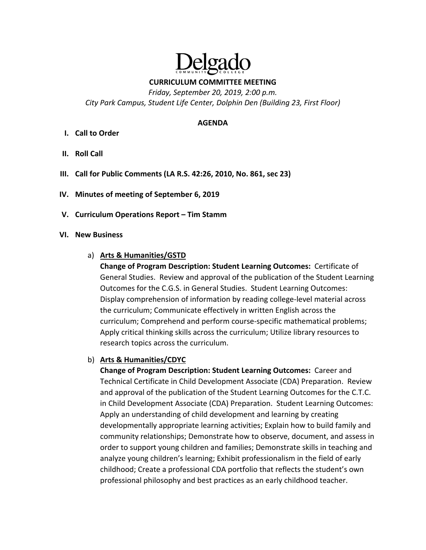

**CURRICULUM COMMITTEE MEETING** 

*Friday, September 20, 2019, 2:00 p.m. City Park Campus, Student Life Center, Dolphin Den (Building 23, First Floor)* 

### **AGENDA**

- **I. Call to Order**
- **II. Roll Call**
- **III. Call for Public Comments (LA R.S. 42:26, 2010, No. 861, sec 23)**
- **IV. Minutes of meeting of September 6, 2019**
- **V. Curriculum Operations Report Tim Stamm**

### **VI. New Business**

### a) **Arts & Humanities/GSTD**

**Change of Program Description: Student Learning Outcomes: Certificate of** General Studies. Review and approval of the publication of the Student Learning Outcomes for the C.G.S. in General Studies. Student Learning Outcomes: Display comprehension of information by reading college‐level material across the curriculum; Communicate effectively in written English across the curriculum; Comprehend and perform course‐specific mathematical problems; Apply critical thinking skills across the curriculum; Utilize library resources to research topics across the curriculum.

### b) **Arts & Humanities/CDYC**

**Change of Program Description: Student Learning Outcomes:**  Career and Technical Certificate in Child Development Associate (CDA) Preparation. Review and approval of the publication of the Student Learning Outcomes for the C.T.C. in Child Development Associate (CDA) Preparation. Student Learning Outcomes: Apply an understanding of child development and learning by creating developmentally appropriate learning activities; Explain how to build family and community relationships; Demonstrate how to observe, document, and assess in order to support young children and families; Demonstrate skills in teaching and analyze young children's learning; Exhibit professionalism in the field of early childhood; Create a professional CDA portfolio that reflects the student's own professional philosophy and best practices as an early childhood teacher.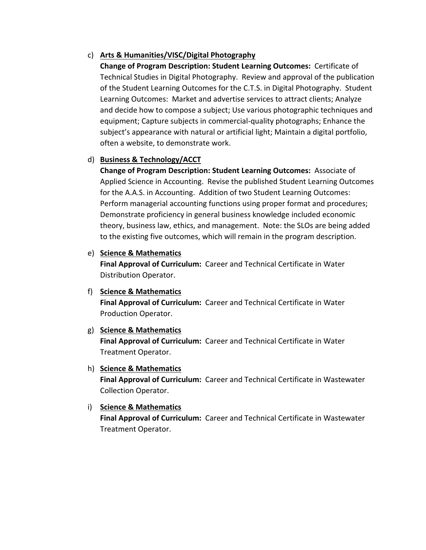# c) **Arts & Humanities/VISC/Digital Photography**

**Change of Program Description: Student Learning Outcomes: Certificate of** Technical Studies in Digital Photography. Review and approval of the publication of the Student Learning Outcomes for the C.T.S. in Digital Photography. Student Learning Outcomes: Market and advertise services to attract clients; Analyze and decide how to compose a subject; Use various photographic techniques and equipment; Capture subjects in commercial‐quality photographs; Enhance the subject's appearance with natural or artificial light; Maintain a digital portfolio, often a website, to demonstrate work.

# d) **Business & Technology/ACCT**

**Change of Program Description: Student Learning Outcomes: Associate of** Applied Science in Accounting. Revise the published Student Learning Outcomes for the A.A.S. in Accounting. Addition of two Student Learning Outcomes: Perform managerial accounting functions using proper format and procedures; Demonstrate proficiency in general business knowledge included economic theory, business law, ethics, and management. Note: the SLOs are being added to the existing five outcomes, which will remain in the program description.

## e) **Science & Mathematics**

Final Approval of Curriculum: Career and Technical Certificate in Water Distribution Operator.

## f) **Science & Mathematics**

Final Approval of Curriculum: Career and Technical Certificate in Water Production Operator.

g) **Science & Mathematics** 

**Final Approval of Curriculum: Career and Technical Certificate in Water** Treatment Operator.

## h) **Science & Mathematics**

**Final Approval of Curriculum:** Career and Technical Certificate in Wastewater Collection Operator.

# i) **Science & Mathematics**

**Final Approval of Curriculum:** Career and Technical Certificate in Wastewater Treatment Operator.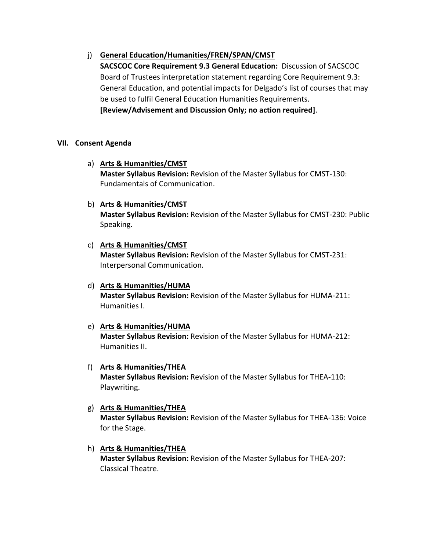# j) **General Education/Humanities/FREN/SPAN/CMST**

**SACSCOC Core Requirement 9.3 General Education:** Discussion of SACSCOC Board of Trustees interpretation statement regarding Core Requirement 9.3: General Education, and potential impacts for Delgado's list of courses that may be used to fulfil General Education Humanities Requirements. **[Review/Advisement and Discussion Only; no action required]**.

# **VII. Consent Agenda**

### a) **Arts & Humanities/CMST**

**Master Syllabus Revision:** Revision of the Master Syllabus for CMST‐130: Fundamentals of Communication.

### b) **Arts & Humanities/CMST**

**Master Syllabus Revision:** Revision of the Master Syllabus for CMST‐230: Public Speaking.

### c) **Arts & Humanities/CMST**

**Master Syllabus Revision:** Revision of the Master Syllabus for CMST‐231: Interpersonal Communication.

d) **Arts & Humanities/HUMA Master Syllabus Revision:** Revision of the Master Syllabus for HUMA‐211: Humanities I.

### e) **Arts & Humanities/HUMA**

**Master Syllabus Revision:** Revision of the Master Syllabus for HUMA‐212: Humanities II.

### f) **Arts & Humanities/THEA**

**Master Syllabus Revision:** Revision of the Master Syllabus for THEA‐110: Playwriting.

# g) **Arts & Humanities/THEA Master Syllabus Revision:** Revision of the Master Syllabus for THEA‐136: Voice for the Stage.

# h) **Arts & Humanities/THEA**

**Master Syllabus Revision:** Revision of the Master Syllabus for THEA‐207: Classical Theatre.